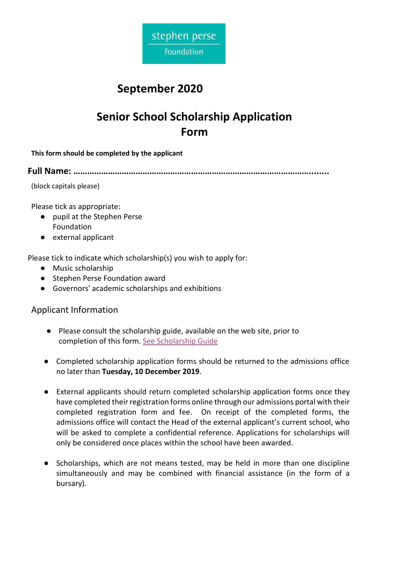

## **September 2020**

# **Senior School Scholarship Application Form**

**This form should be completed by the applicant**

**Full Name: …………………………………………………………………………………………........**

(block capitals please)

Please tick as appropriate:

- pupil at the Stephen Perse Foundation
- external applicant

Please tick to indicate which scholarship(s) you wish to apply for:

- Music scholarship
- Stephen Perse Foundation award
- Governors' academic scholarships and exhibitions

## Applicant Information

- Please consult the scholarship guide, available on the web site, prior to completion of this form. [See Scholarship Guide](https://www.stephenperse.com/seniorscholarships)
- Completed scholarship application forms should be returned to the admissions office no later than **Tuesday, 10 December 2019**.
- External applicants should return completed scholarship application forms once they have completed their registration forms online through our admissions portal with their completed registration form and fee. On receipt of the completed forms, the admissions office will contact the Head of the external applicant's current school, who will be asked to complete a confidential reference. Applications for scholarships will only be considered once places within the school have been awarded.
- Scholarships, which are not means tested, may be held in more than one discipline simultaneously and may be combined with financial assistance (in the form of a bursary).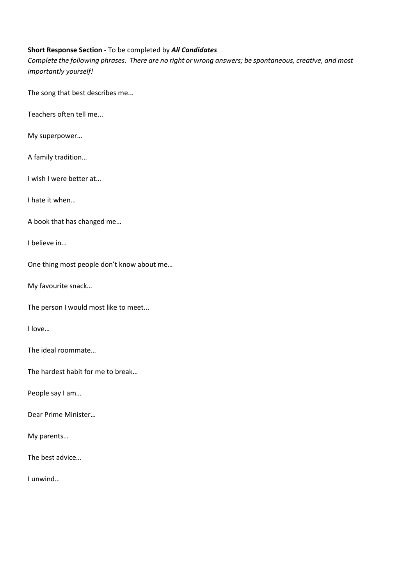#### **Short Response Section** - To be completed by *All Candidates*

*Complete the following phrases. There are no right or wrong answers; be spontaneous, creative, and most importantly yourself!*

The song that best describes me...

Teachers often tell me...

My superpower…

A family tradition…

I wish I were better at…

I hate it when…

A book that has changed me…

I believe in…

One thing most people don't know about me…

My favourite snack…

The person I would most like to meet...

I love…

The ideal roommate…

The hardest habit for me to break…

People say I am…

Dear Prime Minister…

My parents…

The best advice…

I unwind…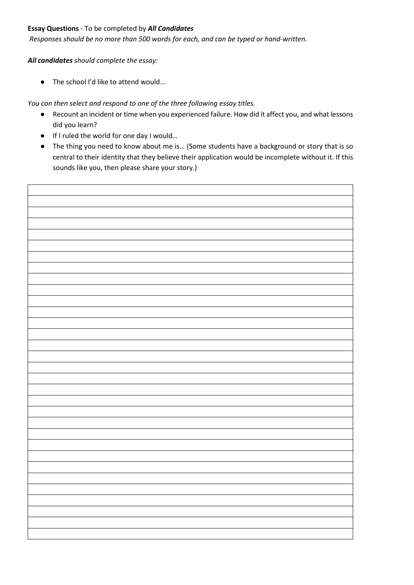#### **Essay Questions** - To be completed by *All Candidates*

*Responses should be no more than 500 words for each, and can be typed or hand-written.*

*All candidates should complete the essay:*

 $\bullet$  The school I'd like to attend would...

*You can then select and respond to one of the three following essay titles.* 

- Recount an incident or time when you experienced failure. How did it affect you, and what lessons did you learn?
- If I ruled the world for one day I would…
- The thing you need to know about me is… (Some students have a background or story that is so central to their identity that they believe their application would be incomplete without it. If this sounds like you, then please share your story.)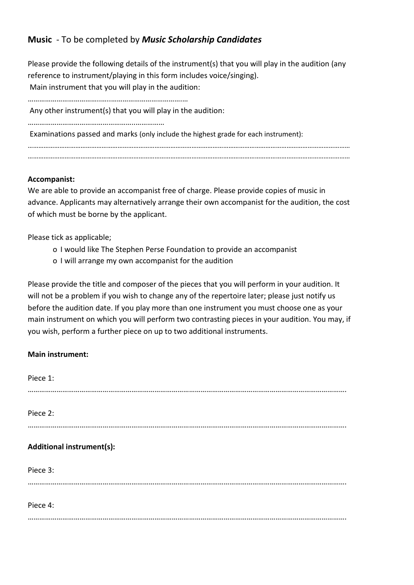## **Music** - To be completed by *Music Scholarship Candidates*

Please provide the following details of the instrument(s) that you will play in the audition (any reference to instrument/playing in this form includes voice/singing). Main instrument that you will play in the audition: ………………………………..…..……………………………….… Any other instrument(s) that you will play in the audition: ………………………………………………..…………… Examinations passed and marks (only include the highest grade for each instrument): ………………………………………………………………………………………………………………………………………………………………… …………………………………………………………………………………………………………………………………………………………………

### **Accompanist:**

We are able to provide an accompanist free of charge. Please provide copies of music in advance. Applicants may alternatively arrange their own accompanist for the audition, the cost of which must be borne by the applicant.

Please tick as applicable;

- o I would like The Stephen Perse Foundation to provide an accompanist
- o I will arrange my own accompanist for the audition

Please provide the title and composer of the pieces that you will perform in your audition. It will not be a problem if you wish to change any of the repertoire later; please just notify us before the audition date. If you play more than one instrument you must choose one as your main instrument on which you will perform two contrasting pieces in your audition. You may, if you wish, perform a further piece on up to two additional instruments.

### **Main instrument:**

| Piece 1:                         |
|----------------------------------|
| Piece 2:                         |
| <b>Additional instrument(s):</b> |
| Piece 3:                         |
| Piece 4:                         |